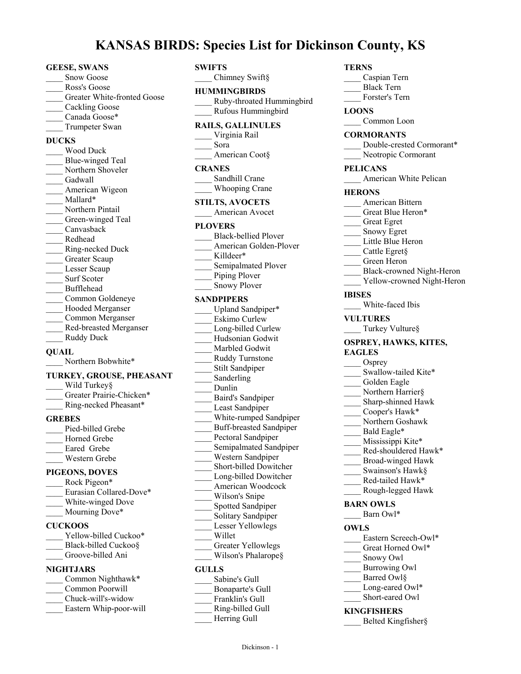# **KANSAS BIRDS: Species List for Dickinson County, KS**

#### **GEESE, SWANS**

- Snow Goose
- Ross's Goose
- Greater White-fronted Goose
- Cackling Goose
- Canada Goose\*
- Trumpeter Swan

# **DUCKS**

\_\_\_\_ Wood Duck Blue-winged Teal Northern Shoveler Gadwall American Wigeon Mallard\* Northern Pintail Green-winged Teal \_\_\_\_ Canvasback \_\_\_\_ Redhead \_\_\_\_ Ring-necked Duck Greater Scaup Lesser Scaup Surf Scoter \_\_\_\_ Bufflehead \_\_\_\_ Common Goldeneye Hooded Merganser \_\_\_\_ Common Merganser \_\_\_\_ Red-breasted Merganser Ruddy Duck

### **QUAIL**

Northern Bobwhite\*

#### **TURKEY, GROUSE, PHEASANT**

Wild Turkey§ Greater Prairie-Chicken\* Ring-necked Pheasant\*

### **GREBES**

Pied-billed Grebe Horned Grebe Eared Grebe \_\_\_\_ Western Grebe

## **PIGEONS, DOVES**

- Rock Pigeon\* Eurasian Collared-Dove\* White-winged Dove Mourning Dove\* **CUCKOOS** Yellow-billed Cuckoo\*
- Black-billed Cuckoo§ Groove-billed Ani
- 

# **NIGHTJARS**

| Common Nighthawk*      |
|------------------------|
| Common Poorwill        |
| Chuck-will's-widow     |
| Eastern Whip-poor-will |

# **SWIFTS**

| : Species List for Dic                           |  |
|--------------------------------------------------|--|
| SWIFTS<br>Chimney Swift§                         |  |
|                                                  |  |
| <b>HUMMINGBIRDS</b><br>Ruby-throated Hummingbird |  |
| Rufous Hummingbird                               |  |
| <b>RAILS, GALLINULES</b>                         |  |
| Virginia Rail                                    |  |
| Sora                                             |  |
| American Coot§                                   |  |
| <b>CRANES</b>                                    |  |
| Sandhill Crane                                   |  |
| <b>Whooping Crane</b>                            |  |
| <b>STILTS, AVOCETS</b>                           |  |
| American Avocet                                  |  |
| <b>PLOVERS</b>                                   |  |
| <b>Black-bellied Plover</b>                      |  |
| American Golden-Plover                           |  |
| Killdeer*                                        |  |
| Semipalmated Plover                              |  |
| Piping Plover                                    |  |
| <b>Snowy Plover</b>                              |  |
| SANDPIPERS                                       |  |
| Upland Sandpiper*                                |  |
| Eskimo Curlew                                    |  |
| Long-billed Curlew                               |  |
| Hudsonian Godwit                                 |  |
| Marbled Godwit                                   |  |
| Ruddy Turnstone                                  |  |
| Stilt Sandpiper<br>Sanderling                    |  |
| Dunlin                                           |  |
| <b>Baird's Sandpiper</b>                         |  |
| Least Sandpiper                                  |  |
| White-rumped Sandpiper                           |  |
| <b>Buff-breasted Sandpiper</b>                   |  |
| Pectoral Sandpiper                               |  |
| Semipalmated Sandpiper                           |  |
| Western Sandpiper                                |  |
| Short-billed Dowitcher                           |  |
| Long-billed Dowitcher                            |  |
| American Woodcock                                |  |
| Wilson's Snipe                                   |  |
| Spotted Sandpiper                                |  |
| Solitary Sandpiper<br>Lesser Yellowlegs          |  |
| Willet                                           |  |
| Greater Yellowlegs                               |  |
| Wilson's Phalarope§                              |  |
| <b>GULLS</b>                                     |  |
| Sabine's Gull                                    |  |
| <b>Bonaparte's Gull</b>                          |  |
| Franklin's Gull                                  |  |
| Ring-billed Gull                                 |  |
| Herring Gull                                     |  |

#### **TERNS**

\_\_\_\_ Caspian Tern

- \_\_\_\_ Black Tern
- \_\_\_\_ Forster's Tern

# **LOONS**

Common Loon

#### **CORMORANTS**

- Double-crested Cormorant\*
- Neotropic Cormorant

# **PELICANS**

American White Pelican

#### **HERONS**

- \_\_\_\_ American Bittern
- Great Blue Heron\*
- \_\_\_\_ Great Egret
- \_\_\_\_ Snowy Egret
- Little Blue Heron
- \_\_\_\_ Cattle Egret§
- \_\_\_\_ Green Heron
- \_\_\_\_ Black-crowned Night-Heron
- Yellow-crowned Night-Heron

#### **IBISES**

White-faced Ibis

#### **VULTURES**

Turkey Vulture§

#### **OSPREY, HAWKS, KITES, EAGLES**

- Osprey
- Swallow-tailed Kite\*
- Golden Eagle
- Northern Harrier§
- Sharp-shinned Hawk
- Cooper's Hawk\*
- \_\_\_\_ Northern Goshawk
- Bald Eagle\*
- Mississippi Kite\*
- Red-shouldered Hawk\*
- \_\_\_\_ Broad-winged Hawk
- Swainson's Hawk§
- Red-tailed Hawk\*
- \_\_\_\_ Rough-legged Hawk

#### **BARN OWLS**

Barn Owl\*

#### **OWLS**

- Eastern Screech-Owl\*
- Great Horned Owl\*
- \_\_\_\_ Snowy Owl
- \_\_\_\_ Burrowing Owl
- Barred Owl§
- Long-eared Owl\* Short-eared Owl
- 

# **KINGFISHERS**

\_\_\_\_ Belted Kingfisher§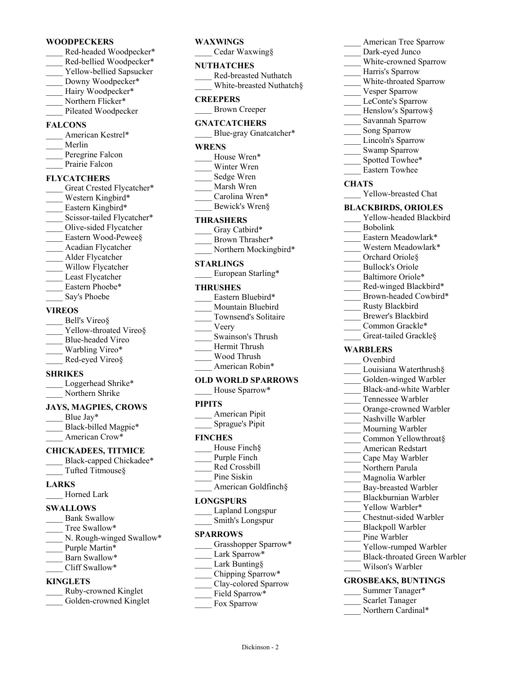#### **WOODPECKERS**

- \_\_\_\_ Red-headed Woodpecker\* Red-bellied Woodpecker\* Yellow-bellied Sapsucker
- Downy Woodpecker\*
- Hairy Woodpecker\*
- Northern Flicker\* Pileated Woodpecker

# **FALCONS**

American Kestrel\* \_\_\_\_ Merlin Peregrine Falcon Prairie Falcon

# **FLYCATCHERS**

Great Crested Flycatcher\* Western Kingbird\* Eastern Kingbird\* Scissor-tailed Flycatcher\* Olive-sided Flycatcher Eastern Wood-Pewee§ \_\_\_\_ Acadian Flycatcher Alder Flycatcher Willow Flycatcher Least Flycatcher Eastern Phoebe\* Say's Phoebe

# **VIREOS**

| Bell's Vireo§          |
|------------------------|
| Yellow-throated Vireo§ |
| Blue-headed Vireo      |
| Warbling Vireo*        |
| Red-eyed Vireo§        |

### **SHRIKES**

| Loggerhead Shrike* |
|--------------------|
| Northern Shrike    |

### **JAYS, MAGPIES, CROWS**

Blue Jay\* Black-billed Magpie\* American Crow\*

# **CHICKADEES, TITMICE**

- Black-capped Chickadee\* Tufted Titmouse§
- 

#### **LARKS** Horned Lark

- **SWALLOWS**
- Bank Swallow
- Tree Swallow\*
- N. Rough-winged Swallow\*
- Purple Martin\*
- Barn Swallow\*
- \_\_\_\_ Cliff Swallow\*

## **KINGLETS**

| Ruby-crowned Kinglet   |
|------------------------|
| Golden-crowned Kinglet |

# **WAXWlNGS**

\_\_\_\_ Cedar Waxwing§

#### **NUTHATCHES**

| Red-breasted Nuthatch    |
|--------------------------|
| White-breasted Nuthatch§ |

### **CREEPERS**

\_\_\_\_ Brown Creeper

# **GNATCATCHERS**

Blue-gray Gnatcatcher\*

### **WRENS**

- House Wren\*
- Winter Wren
- \_\_\_\_ Sedge Wren
- \_\_\_\_ Marsh Wren
- Carolina Wren\* Bewick's Wren§
- 

### **THRASHERS**

- Gray Catbird\* Brown Thrasher\*
- \_\_\_\_ Northern Mockingbird\*

### **STARLINGS**

\_\_\_\_ European Starling\*

#### **THRUSHES**

| Eastern Bluebird*    |
|----------------------|
| Mountain Bluebird    |
| Townsend's Solitaire |
| Veery                |
| Swainson's Thrush    |
| Hermit Thrush        |
| Wood Thrush          |
| American Robin*      |

### **OLD WORLD SPARROWS**

House Sparrow\*

# **PIPITS**

| American Pipit  |
|-----------------|
| Sprague's Pipit |

### **FINCHES**

- House Finch§
- Purple Finch
- \_\_\_\_ Red Crossbill
- Pine Siskin
- American Goldfinch§

# **LONGSPURS**

| Lapland Longspur |
|------------------|
| Smith's Longspur |

#### **SPARROWS**

| Grasshopper Sparrow* |
|----------------------|
| Lark Sparrow*        |

- Lark Bunting§
- \_\_\_\_ Chipping Sparrow\*
- \_\_\_\_ Clay-colored Sparrow

Dickinson - 2

- Field Sparrow\*
- Fox Sparrow
- American Tree Sparrow
- Dark-eyed Junco
- White-crowned Sparrow
- \_\_\_\_ Harris's Sparrow
- White-throated Sparrow
- Vesper Sparrow
- LeConte's Sparrow
- Henslow's Sparrow§
- \_\_\_\_ Savannah Sparrow
- Song Sparrow
- Lincoln's Sparrow
- Swamp Sparrow Spotted Towhee\*
- \_\_\_\_ Eastern Towhee
- **CHATS**
- Yellow-breasted Chat

#### **BLACKBIRDS, ORIOLES**

- Yellow-headed Blackbird \_\_\_\_ Bobolink
- Eastern Meadowlark\*
- Western Meadowlark\*
- Orchard Oriole§
- Bullock's Oriole
- Baltimore Oriole\*
- Red-winged Blackbird\*
- Brown-headed Cowbird\*
- \_\_\_\_ Rusty Blackbird
- Brewer's Blackbird
- Common Grackle\*
- Great-tailed Grackle§

### **WARBLERS**

- \_\_\_\_ Ovenbird
- Louisiana Waterthrush§ Golden-winged Warbler

\_\_\_\_ Black-and-white Warbler Tennessee Warbler Orange-crowned Warbler Nashville Warbler Mourning Warbler Common Yellowthroat§ \_\_\_\_ American Redstart \_\_\_\_ Cape May Warbler Northern Parula Magnolia Warbler Bay-breasted Warbler \_\_\_\_ Blackburnian Warbler Yellow Warbler\* \_\_\_\_ Chestnut-sided Warbler Blackpoll Warbler Pine Warbler

Yellow-rumped Warbler \_\_\_\_ Black-throated Green Warbler

\_\_\_\_ Wilson's Warbler **GROSBEAKS, BUNTINGS** Summer Tanager\* Scarlet Tanager Northern Cardinal\*